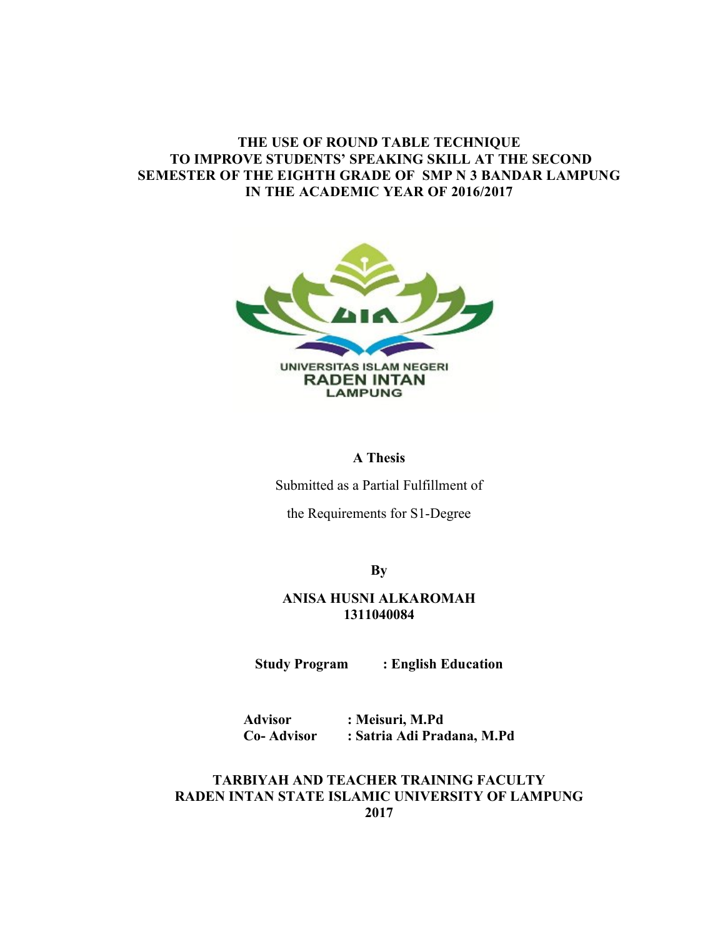# **THE USE OF ROUND TABLE TECHNIQUE TO IMPROVE STUDENTS' SPEAKING SKILL AT THE SECOND SEMESTER OF THE EIGHTH GRADE OF SMP N 3 BANDAR LAMPUNG IN THE ACADEMIC YEAR OF 2016/2017**



### **A Thesis**

Submitted as a Partial Fulfillment of

the Requirements for S1-Degree

**By**

## **ANISA HUSNI ALKAROMAH 1311040084**

**Study Program : English Education**

**Advisor : Meisuri, M.Pd Co- Advisor : Satria Adi Pradana, M.Pd**

## **TARBIYAH AND TEACHER TRAINING FACULTY RADEN INTAN STATE ISLAMIC UNIVERSITY OF LAMPUNG 2017**